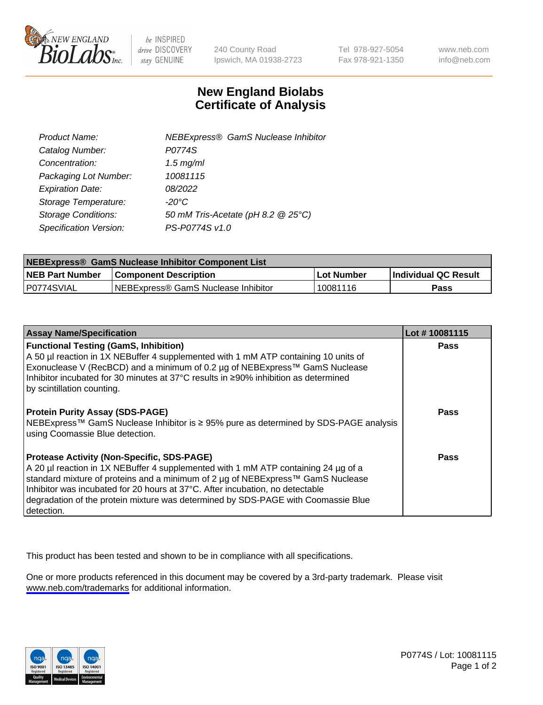

be INSPIRED drive DISCOVERY stay GENUINE

240 County Road Ipswich, MA 01938-2723 Tel 978-927-5054 Fax 978-921-1350

www.neb.com info@neb.com

## **New England Biolabs Certificate of Analysis**

| Product Name:                 | <b>NEBExpress® GamS Nuclease Inhibitor</b> |
|-------------------------------|--------------------------------------------|
| Catalog Number:               | P0774S                                     |
| Concentration:                | $1.5$ mg/ml                                |
| Packaging Lot Number:         | 10081115                                   |
| <b>Expiration Date:</b>       | 08/2022                                    |
| Storage Temperature:          | $-20^{\circ}$ C                            |
| <b>Storage Conditions:</b>    | 50 mM Tris-Acetate (pH 8.2 @ 25°C)         |
| <b>Specification Version:</b> | PS-P0774S v1.0                             |

| <b>NEBExpress® GamS Nuclease Inhibitor Component List</b> |                                      |            |                      |  |
|-----------------------------------------------------------|--------------------------------------|------------|----------------------|--|
| <b>NEB Part Number</b>                                    | <b>Component Description</b>         | Lot Number | Individual QC Result |  |
| IP0774SVIAL                                               | INEBExpress® GamS Nuclease Inhibitor | 10081116   | Pass                 |  |

| <b>Assay Name/Specification</b>                                                                                                                                                                                                                                                                                                                                                                                | Lot #10081115 |
|----------------------------------------------------------------------------------------------------------------------------------------------------------------------------------------------------------------------------------------------------------------------------------------------------------------------------------------------------------------------------------------------------------------|---------------|
| <b>Functional Testing (GamS, Inhibition)</b><br>A 50 µl reaction in 1X NEBuffer 4 supplemented with 1 mM ATP containing 10 units of<br>Exonuclease V (RecBCD) and a minimum of 0.2 µg of NEBExpress™ GamS Nuclease<br>Inhibitor incubated for 30 minutes at 37°C results in ≥90% inhibition as determined<br>by scintillation counting.                                                                        | <b>Pass</b>   |
| <b>Protein Purity Assay (SDS-PAGE)</b><br>NEBExpress™ GamS Nuclease Inhibitor is ≥ 95% pure as determined by SDS-PAGE analysis<br>using Coomassie Blue detection.                                                                                                                                                                                                                                              | Pass          |
| <b>Protease Activity (Non-Specific, SDS-PAGE)</b><br>A 20 µl reaction in 1X NEBuffer 4 supplemented with 1 mM ATP containing 24 µg of a<br>standard mixture of proteins and a minimum of 2 µg of NEBExpress™ GamS Nuclease<br>Inhibitor was incubated for 20 hours at 37°C. After incubation, no detectable<br>degradation of the protein mixture was determined by SDS-PAGE with Coomassie Blue<br>detection. | Pass          |

This product has been tested and shown to be in compliance with all specifications.

One or more products referenced in this document may be covered by a 3rd-party trademark. Please visit <www.neb.com/trademarks>for additional information.